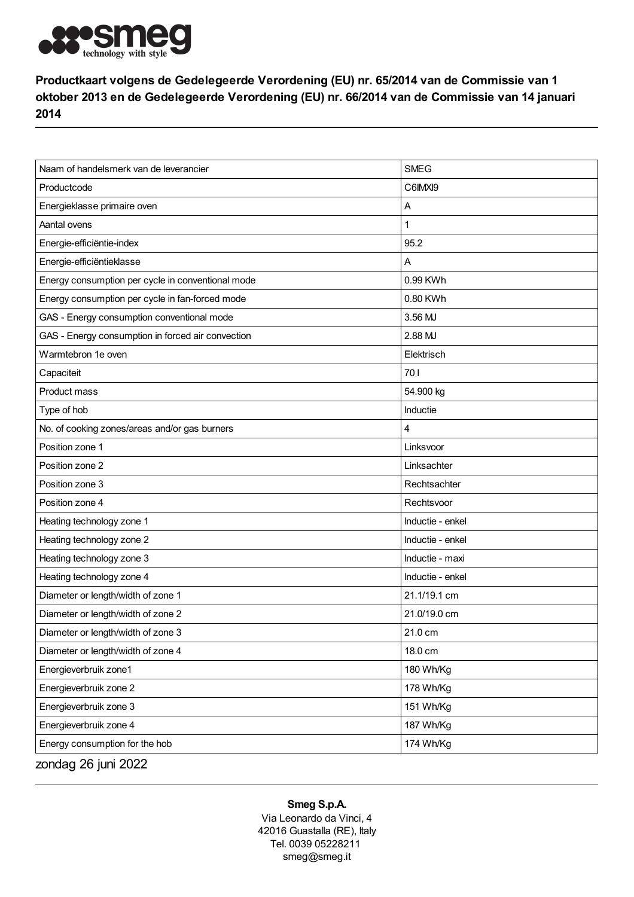

Productkaart volgens de Gedelegeerde Verordening (EU) nr. 65/2014 van de Commissie van 1 oktober 2013 en de Gedelegeerde Verordening (EU) nr. 66/2014 van de Commissie van 14 januari 2014

| Naam of handelsmerk van de leverancier            | <b>SMEG</b>      |
|---------------------------------------------------|------------------|
| Productcode                                       | C6IMXI9          |
| Energieklasse primaire oven                       | Α                |
| Aantal ovens                                      | 1                |
| Energie-efficiëntie-index                         | 95.2             |
| Energie-efficiëntieklasse                         | Α                |
| Energy consumption per cycle in conventional mode | 0.99 KWh         |
| Energy consumption per cycle in fan-forced mode   | 0.80 KWh         |
| GAS - Energy consumption conventional mode        | 3.56 MJ          |
| GAS - Energy consumption in forced air convection | 2.88 MJ          |
| Warmtebron 1e oven                                | Elektrisch       |
| Capaciteit                                        | 70 I             |
| Product mass                                      | 54.900 kg        |
| Type of hob                                       | Inductie         |
| No. of cooking zones/areas and/or gas burners     | 4                |
| Position zone 1                                   | Linksvoor        |
| Position zone 2                                   | Linksachter      |
| Position zone 3                                   | Rechtsachter     |
| Position zone 4                                   | Rechtsvoor       |
| Heating technology zone 1                         | Inductie - enkel |
| Heating technology zone 2                         | Inductie - enkel |
| Heating technology zone 3                         | Inductie - maxi  |
| Heating technology zone 4                         | Inductie - enkel |
| Diameter or length/width of zone 1                | 21.1/19.1 cm     |
| Diameter or length/width of zone 2                | 21.0/19.0 cm     |
| Diameter or length/width of zone 3                | 21.0 cm          |
| Diameter or length/width of zone 4                | 18.0 cm          |
| Energieverbruik zone1                             | 180 Wh/Kg        |
| Energieverbruik zone 2                            | 178 Wh/Kg        |
| Energieverbruik zone 3                            | 151 Wh/Kg        |
| Energieverbruik zone 4                            | 187 Wh/Kg        |
| Energy consumption for the hob                    | 174 Wh/Kg        |
| zondag 26 juni 2022                               |                  |

## Smeg S.p.A.

Via Leonardo da Vinci, 4 42016 Guastalla (RE), Italy Tel. 0039 05228211 smeg@smeg.it